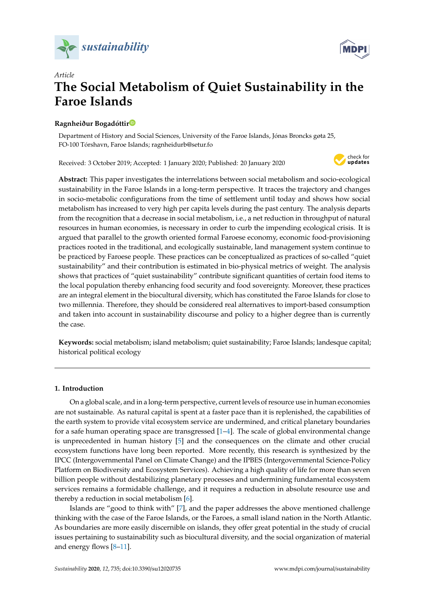



# *Article* **The Social Metabolism of Quiet Sustainability in the Faroe Islands**

# **Ragnheiður Bogadótti[r](https://orcid.org/0000-0002-6658-6505)**

Department of History and Social Sciences, University of the Faroe Islands, Jónas Broncks gøta 25, FO-100 Tórshavn, Faroe Islands; ragnheidurb@setur.fo

Received: 3 October 2019; Accepted: 1 January 2020; Published: 20 January 2020



**Abstract:** This paper investigates the interrelations between social metabolism and socio-ecological sustainability in the Faroe Islands in a long-term perspective. It traces the trajectory and changes in socio-metabolic configurations from the time of settlement until today and shows how social metabolism has increased to very high per capita levels during the past century. The analysis departs from the recognition that a decrease in social metabolism, i.e., a net reduction in throughput of natural resources in human economies, is necessary in order to curb the impending ecological crisis. It is argued that parallel to the growth oriented formal Faroese economy, economic food-provisioning practices rooted in the traditional, and ecologically sustainable, land management system continue to be practiced by Faroese people. These practices can be conceptualized as practices of so-called "quiet sustainability" and their contribution is estimated in bio-physical metrics of weight. The analysis shows that practices of "quiet sustainability" contribute significant quantities of certain food items to the local population thereby enhancing food security and food sovereignty. Moreover, these practices are an integral element in the biocultural diversity, which has constituted the Faroe Islands for close to two millennia. Therefore, they should be considered real alternatives to import-based consumption and taken into account in sustainability discourse and policy to a higher degree than is currently the case.

**Keywords:** social metabolism; island metabolism; quiet sustainability; Faroe Islands; landesque capital; historical political ecology

# **1. Introduction**

On a global scale, and in a long-term perspective, current levels of resource use in human economies are not sustainable. As natural capital is spent at a faster pace than it is replenished, the capabilities of the earth system to provide vital ecosystem service are undermined, and critical planetary boundaries for a safe human operating space are transgressed  $[1-4]$  $[1-4]$ . The scale of global environmental change is unprecedented in human history [\[5\]](#page-13-2) and the consequences on the climate and other crucial ecosystem functions have long been reported. More recently, this research is synthesized by the IPCC (Intergovernmental Panel on Climate Change) and the IPBES (Intergovernmental Science-Policy Platform on Biodiversity and Ecosystem Services). Achieving a high quality of life for more than seven billion people without destabilizing planetary processes and undermining fundamental ecosystem services remains a formidable challenge, and it requires a reduction in absolute resource use and thereby a reduction in social metabolism [\[6\]](#page-13-3).

Islands are "good to think with" [\[7\]](#page-13-4), and the paper addresses the above mentioned challenge thinking with the case of the Faroe Islands, or the Faroes, a small island nation in the North Atlantic. As boundaries are more easily discernible on islands, they offer great potential in the study of crucial issues pertaining to sustainability such as biocultural diversity, and the social organization of material and energy flows [\[8](#page-13-5)[–11\]](#page-13-6).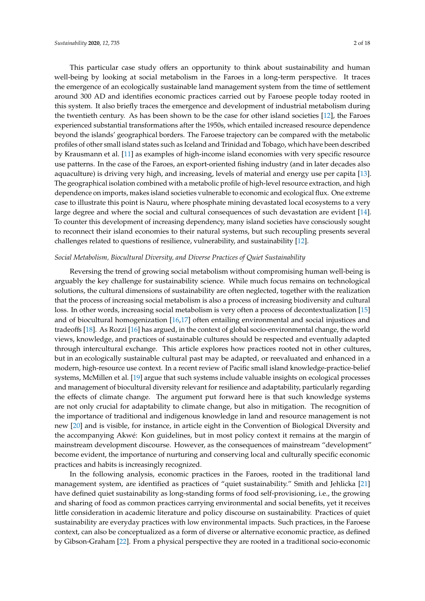This particular case study offers an opportunity to think about sustainability and human well-being by looking at social metabolism in the Faroes in a long-term perspective. It traces the emergence of an ecologically sustainable land management system from the time of settlement around 300 AD and identifies economic practices carried out by Faroese people today rooted in this system. It also briefly traces the emergence and development of industrial metabolism during the twentieth century. As has been shown to be the case for other island societies [\[12\]](#page-13-7), the Faroes experienced substantial transformations after the 1950s, which entailed increased resource dependence beyond the islands' geographical borders. The Faroese trajectory can be compared with the metabolic profiles of other small island states such as Iceland and Trinidad and Tobago, which have been described by Krausmann et al. [\[11\]](#page-13-6) as examples of high-income island economies with very specific resource use patterns. In the case of the Faroes, an export-oriented fishing industry (and in later decades also aquaculture) is driving very high, and increasing, levels of material and energy use per capita [\[13\]](#page-13-8). The geographical isolation combined with a metabolic profile of high-level resource extraction, and high dependence on imports, makes island societies vulnerable to economic and ecological flux. One extreme case to illustrate this point is Nauru, where phosphate mining devastated local ecosystems to a very large degree and where the social and cultural consequences of such devastation are evident [\[14\]](#page-13-9). To counter this development of increasing dependency, many island societies have consciously sought to reconnect their island economies to their natural systems, but such recoupling presents several challenges related to questions of resilience, vulnerability, and sustainability [\[12\]](#page-13-7).

#### *Social Metabolism, Biocultural Diversity, and Diverse Practices of Quiet Sustainability*

Reversing the trend of growing social metabolism without compromising human well-being is arguably the key challenge for sustainability science. While much focus remains on technological solutions, the cultural dimensions of sustainability are often neglected, together with the realization that the process of increasing social metabolism is also a process of increasing biodiversity and cultural loss. In other words, increasing social metabolism is very often a process of decontextualization [\[15\]](#page-13-10) and of biocultural homogenization [\[16,](#page-13-11)[17\]](#page-13-12) often entailing environmental and social injustices and tradeoffs [\[18\]](#page-13-13). As Rozzi [\[16\]](#page-13-11) has argued, in the context of global socio-environmental change, the world views, knowledge, and practices of sustainable cultures should be respected and eventually adapted through intercultural exchange. This article explores how practices rooted not in other cultures, but in an ecologically sustainable cultural past may be adapted, or reevaluated and enhanced in a modern, high-resource use context. In a recent review of Pacific small island knowledge-practice-belief systems, McMillen et al. [\[19\]](#page-13-14) argue that such systems include valuable insights on ecological processes and management of biocultural diversity relevant for resilience and adaptability, particularly regarding the effects of climate change. The argument put forward here is that such knowledge systems are not only crucial for adaptability to climate change, but also in mitigation. The recognition of the importance of traditional and indigenous knowledge in land and resource management is not new [\[20\]](#page-14-0) and is visible, for instance, in article eight in the Convention of Biological Diversity and the accompanying Akwé: Kon guidelines, but in most policy context it remains at the margin of mainstream development discourse. However, as the consequences of mainstream "development" become evident, the importance of nurturing and conserving local and culturally specific economic practices and habits is increasingly recognized.

In the following analysis, economic practices in the Faroes, rooted in the traditional land management system, are identified as practices of "quiet sustainability." Smith and Jehlicka [\[21\]](#page-14-1) have defined quiet sustainability as long-standing forms of food self-provisioning, i.e., the growing and sharing of food as common practices carrying environmental and social benefits, yet it receives little consideration in academic literature and policy discourse on sustainability. Practices of quiet sustainability are everyday practices with low environmental impacts. Such practices, in the Faroese context, can also be conceptualized as a form of diverse or alternative economic practice, as defined by Gibson-Graham [\[22\]](#page-14-2). From a physical perspective they are rooted in a traditional socio-economic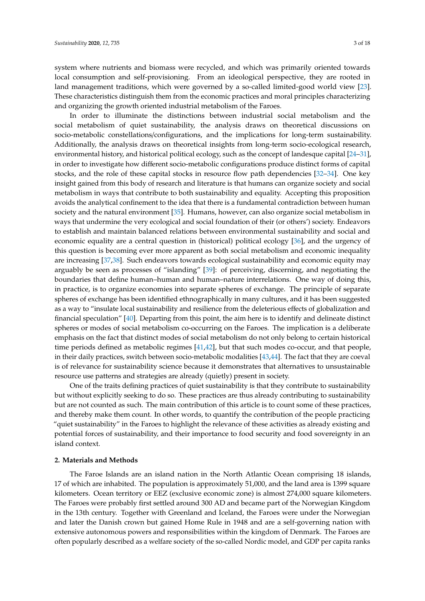system where nutrients and biomass were recycled, and which was primarily oriented towards local consumption and self-provisioning. From an ideological perspective, they are rooted in land management traditions, which were governed by a so-called limited-good world view [\[23\]](#page-14-3). These characteristics distinguish them from the economic practices and moral principles characterizing and organizing the growth oriented industrial metabolism of the Faroes.

In order to illuminate the distinctions between industrial social metabolism and the social metabolism of quiet sustainability, the analysis draws on theoretical discussions on socio-metabolic constellations/configurations, and the implications for long-term sustainability. Additionally, the analysis draws on theoretical insights from long-term socio-ecological research, environmental history, and historical political ecology, such as the concept of landesque capital [\[24](#page-14-4)[–31\]](#page-14-5), in order to investigate how different socio-metabolic configurations produce distinct forms of capital stocks, and the role of these capital stocks in resource flow path dependencies [\[32](#page-14-6)[–34\]](#page-14-7). One key insight gained from this body of research and literature is that humans can organize society and social metabolism in ways that contribute to both sustainability and equality. Accepting this proposition avoids the analytical confinement to the idea that there is a fundamental contradiction between human society and the natural environment [\[35\]](#page-14-8). Humans, however, can also organize social metabolism in ways that undermine the very ecological and social foundation of their (or others') society. Endeavors to establish and maintain balanced relations between environmental sustainability and social and economic equality are a central question in (historical) political ecology [\[36\]](#page-14-9), and the urgency of this question is becoming ever more apparent as both social metabolism and economic inequality are increasing [\[37](#page-14-10)[,38\]](#page-14-11). Such endeavors towards ecological sustainability and economic equity may arguably be seen as processes of "islanding" [\[39\]](#page-14-12): of perceiving, discerning, and negotiating the boundaries that define human–human and human–nature interrelations. One way of doing this, in practice, is to organize economies into separate spheres of exchange. The principle of separate spheres of exchange has been identified ethnographically in many cultures, and it has been suggested as a way to "insulate local sustainability and resilience from the deleterious effects of globalization and financial speculation" [\[40\]](#page-14-13). Departing from this point, the aim here is to identify and delineate distinct spheres or modes of social metabolism co-occurring on the Faroes. The implication is a deliberate emphasis on the fact that distinct modes of social metabolism do not only belong to certain historical time periods defined as metabolic regimes [\[41](#page-14-14)[,42\]](#page-14-15), but that such modes co-occur, and that people, in their daily practices, switch between socio-metabolic modalities [\[43](#page-14-16)[,44\]](#page-14-17). The fact that they are coeval is of relevance for sustainability science because it demonstrates that alternatives to unsustainable resource use patterns and strategies are already (quietly) present in society.

One of the traits defining practices of quiet sustainability is that they contribute to sustainability but without explicitly seeking to do so. These practices are thus already contributing to sustainability but are not counted as such. The main contribution of this article is to count some of these practices, and thereby make them count. In other words, to quantify the contribution of the people practicing "quiet sustainability" in the Faroes to highlight the relevance of these activities as already existing and potential forces of sustainability, and their importance to food security and food sovereignty in an island context.

#### **2. Materials and Methods**

The Faroe Islands are an island nation in the North Atlantic Ocean comprising 18 islands, 17 of which are inhabited. The population is approximately 51,000, and the land area is 1399 square kilometers. Ocean territory or EEZ (exclusive economic zone) is almost 274,000 square kilometers. The Faroes were probably first settled around 300 AD and became part of the Norwegian Kingdom in the 13th century. Together with Greenland and Iceland, the Faroes were under the Norwegian and later the Danish crown but gained Home Rule in 1948 and are a self-governing nation with extensive autonomous powers and responsibilities within the kingdom of Denmark. The Faroes are often popularly described as a welfare society of the so-called Nordic model, and GDP per capita ranks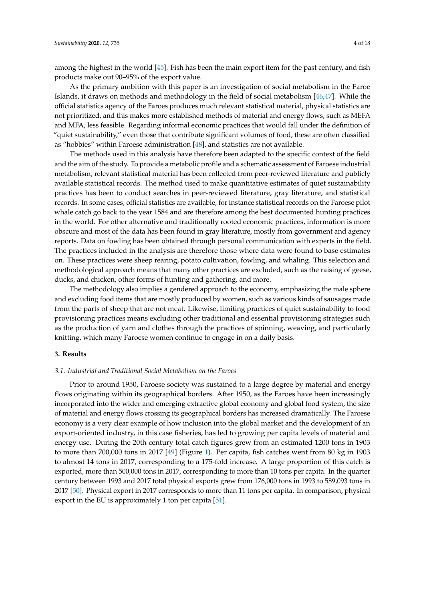among the highest in the world [\[45\]](#page-15-0). Fish has been the main export item for the past century, and fish products make out 90–95% of the export value.

As the primary ambition with this paper is an investigation of social metabolism in the Faroe Islands, it draws on methods and methodology in the field of social metabolism [\[46](#page-15-1)[,47\]](#page-15-2). While the official statistics agency of the Faroes produces much relevant statistical material, physical statistics are not prioritized, and this makes more established methods of material and energy flows, such as MEFA and MFA, less feasible. Regarding informal economic practices that would fall under the definition of "quiet sustainability," even those that contribute significant volumes of food, these are often classified as "hobbies" within Faroese administration [\[48\]](#page-15-3), and statistics are not available.

The methods used in this analysis have therefore been adapted to the specific context of the field and the aim of the study. To provide a metabolic profile and a schematic assessment of Faroese industrial metabolism, relevant statistical material has been collected from peer-reviewed literature and publicly available statistical records. The method used to make quantitative estimates of quiet sustainability practices has been to conduct searches in peer-reviewed literature, gray literature, and statistical records. In some cases, official statistics are available, for instance statistical records on the Faroese pilot whale catch go back to the year 1584 and are therefore among the best documented hunting practices in the world. For other alternative and traditionally rooted economic practices, information is more obscure and most of the data has been found in gray literature, mostly from government and agency reports. Data on fowling has been obtained through personal communication with experts in the field. The practices included in the analysis are therefore those where data were found to base estimates on. These practices were sheep rearing, potato cultivation, fowling, and whaling. This selection and methodological approach means that many other practices are excluded, such as the raising of geese, ducks, and chicken, other forms of hunting and gathering, and more.

The methodology also implies a gendered approach to the economy, emphasizing the male sphere and excluding food items that are mostly produced by women, such as various kinds of sausages made from the parts of sheep that are not meat. Likewise, limiting practices of quiet sustainability to food provisioning practices means excluding other traditional and essential provisioning strategies such as the production of yarn and clothes through the practices of spinning, weaving, and particularly knitting, which many Faroese women continue to engage in on a daily basis.

#### **3. Results**

#### *3.1. Industrial and Traditional Social Metabolism on the Faroes*

Prior to around 1950, Faroese society was sustained to a large degree by material and energy flows originating within its geographical borders. After 1950, as the Faroes have been increasingly incorporated into the wider and emerging extractive global economy and global food system, the size of material and energy flows crossing its geographical borders has increased dramatically. The Faroese economy is a very clear example of how inclusion into the global market and the development of an export-oriented industry, in this case fisheries, has led to growing per capita levels of material and energy use. During the 20th century total catch figures grew from an estimated 1200 tons in 1903 to more than 700,000 tons in 2017 [\[49\]](#page-15-4) (Figure [1\)](#page-4-0). Per capita, fish catches went from 80 kg in 1903 to almost 14 tons in 2017, corresponding to a 175-fold increase. A large proportion of this catch is exported, more than 500,000 tons in 2017, corresponding to more than 10 tons per capita. In the quarter century between 1993 and 2017 total physical exports grew from 176,000 tons in 1993 to 589,093 tons in 2017 [\[50\]](#page-15-5). Physical export in 2017 corresponds to more than 11 tons per capita. In comparison, physical export in the EU is approximately 1 ton per capita [\[51\]](#page-15-6).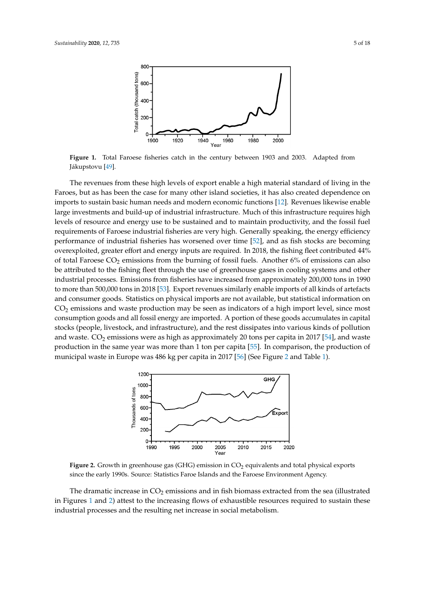<span id="page-4-0"></span>

Figure 1. Total Faroese fisheries catch in the century between 1903 and 2003. Adapted from Jákupstovu [\[49\]](#page-15-4).  $T_{\text{S}}$  from the reversion these high material standard of living in the living in the living in the living in the living in the living in the living in the living in the living in the living in the living in the living

The revenues from these high levels of export enable a high material standard of living in the Faroes, but as has been the case for many other island societies, it has also created dependence on imports to sustain basic human needs and modern economic functions [\[12\]](#page-13-7). Revenues likewise enable large investments and build-up of industrial infrastructure. Much of this infrastructure requires high levels of resource and energy use to be sustained and to maintain productivity, and the fossil fuel requirements of Faroese industrial fisheries are very high. Generally speaking, the energy efficiency performance of industrial fisheries has worsened over time [\[52\]](#page-15-7), and as fish stocks are becoming overexploited, greater effort and energy inputs are required. In 2018, the fishing fleet contributed 44% of total Faroese  $CO_2$  emissions from the burning of fossil fuels. Another 6% of emissions can also be attributed to the fishing fleet through the use of greenhouse gases in cooling systems and other industrial processes. Emissions from fisheries have increased from approximately 200,000 tons in 1990 to more than 500,000 tons in 2018 [\[53\]](#page-15-8). Export revenues similarly enable imports of all kinds of artefacts and consumer goods. Statistics on physical imports are not available, but statistical information on  $CO<sub>2</sub>$  emissions and waste production may be seen as indicators of a high import level, since most consumption goods and all fossil energy are imported. A portion of these goods accumulates in capital stocks (people, livestock, and infrastructure), and the rest dissipates into various kinds of pollution and waste.  $CO_2$  emissions were as high as approximately 20 tons per capita in 2017 [\[54\]](#page-15-9), and waste production in the same year was more than 1 ton per capita [\[55\]](#page-15-10). In comparison, the production of municipal waste in Europe was 486 kg per capita in 2017 [\[56\]](#page-15-11) (See Figure [2](#page-4-1) and Table [1\)](#page-5-0).

<span id="page-4-1"></span>

**Figure 2.** Growth in greenhouse gas (GHG) emission in CO2 equivalents and total physical exports since the early 1990s. Source: Statistics Faroe Islands and the Faroese Environment Agency. since the early 1990s. Source: Statistics Faroe Islands and the Faroese Environment Agency. Figure 2. Growth in greenhouse gas (GHG) emission in CO<sub>2</sub> equivalents and total physical exports

in Figures [1](#page-4-0) and [2\)](#page-4-1) attest to the increasing flows of exhaustible resources required to sustain these  $\frac{1}{2}$  industrial processes and the resulting net increase in social metabolism industrial processes and the resulting net increase in social metabolism. The dramatic increase in  $CO<sub>2</sub>$  emissions and in fish biomass extracted from the sea (illustrated industrial processes and the resulting net increase in social metabolism.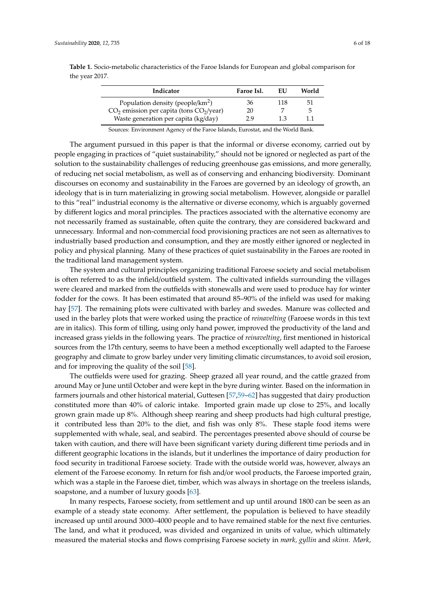| Indicator                                    | Faroe Isl. | EU  | World |
|----------------------------------------------|------------|-----|-------|
| Population density (people/km <sup>2</sup> ) | 36         | 118 | 51    |
| $CO2$ emission per capita (tons $CO2/year$ ) | 20         |     | 5     |
| Waste generation per capita (kg/day)         | 2 g        | 13  |       |

<span id="page-5-0"></span>**Table 1.** Socio-metabolic characteristics of the Faroe Islands for European and global comparison for the year 2017.

Sources: Environment Agency of the Faroe Islands, Eurostat, and the World Bank.

The argument pursued in this paper is that the informal or diverse economy, carried out by people engaging in practices of "quiet sustainability," should not be ignored or neglected as part of the solution to the sustainability challenges of reducing greenhouse gas emissions, and more generally, of reducing net social metabolism, as well as of conserving and enhancing biodiversity. Dominant discourses on economy and sustainability in the Faroes are governed by an ideology of growth, an ideology that is in turn materializing in growing social metabolism. However, alongside or parallel to this "real" industrial economy is the alternative or diverse economy, which is arguably governed by different logics and moral principles. The practices associated with the alternative economy are not necessarily framed as sustainable, often quite the contrary, they are considered backward and unnecessary. Informal and non-commercial food provisioning practices are not seen as alternatives to industrially based production and consumption, and they are mostly either ignored or neglected in policy and physical planning. Many of these practices of quiet sustainability in the Faroes are rooted in the traditional land management system.

The system and cultural principles organizing traditional Faroese society and social metabolism is often referred to as the infield/outfield system. The cultivated infields surrounding the villages were cleared and marked from the outfields with stonewalls and were used to produce hay for winter fodder for the cows. It has been estimated that around 85–90% of the infield was used for making hay [\[57\]](#page-15-12). The remaining plots were cultivated with barley and swedes. Manure was collected and used in the barley plots that were worked using the practice of *reinavelting* (Faroese words in this text are in italics). This form of tilling, using only hand power, improved the productivity of the land and increased grass yields in the following years. The practice of *reinavelting*, first mentioned in historical sources from the 17th century, seems to have been a method exceptionally well adapted to the Faroese geography and climate to grow barley under very limiting climatic circumstances, to avoid soil erosion, and for improving the quality of the soil [\[58\]](#page-15-13).

The outfields were used for grazing. Sheep grazed all year round, and the cattle grazed from around May or June until October and were kept in the byre during winter. Based on the information in farmers journals and other historical material, Guttesen [\[57](#page-15-12)[,59–](#page-15-14)[62\]](#page-15-15) has suggested that dairy production constituted more than 40% of caloric intake. Imported grain made up close to 25%, and locally grown grain made up 8%. Although sheep rearing and sheep products had high cultural prestige, it contributed less than 20% to the diet, and fish was only 8%. These staple food items were supplemented with whale, seal, and seabird. The percentages presented above should of course be taken with caution, and there will have been significant variety during different time periods and in different geographic locations in the islands, but it underlines the importance of dairy production for food security in traditional Faroese society. Trade with the outside world was, however, always an element of the Faroese economy. In return for fish and/or wool products, the Faroese imported grain, which was a staple in the Faroese diet, timber, which was always in shortage on the treeless islands, soapstone, and a number of luxury goods [\[63\]](#page-15-16).

In many respects, Faroese society, from settlement and up until around 1800 can be seen as an example of a steady state economy. After settlement, the population is believed to have steadily increased up until around 3000–4000 people and to have remained stable for the next five centuries. The land, and what it produced, was divided and organized in units of value, which ultimately measured the material stocks and flows comprising Faroese society in *mørk, gyllin* and *skinn. Mørk,*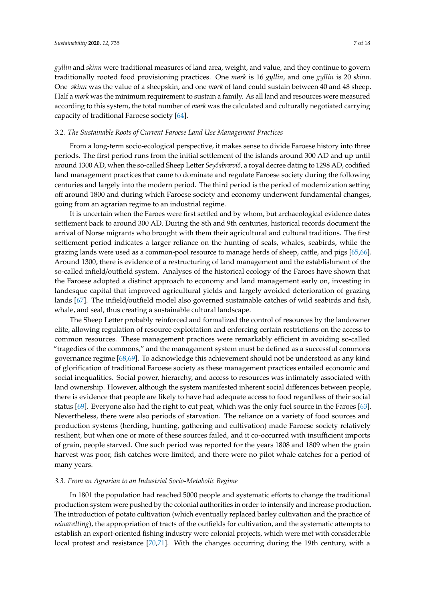*gyllin* and *skinn* were traditional measures of land area, weight, and value, and they continue to govern traditionally rooted food provisioning practices. One *mørk* is 16 *gyllin*, and one *gyllin* is 20 *skinn*. One *skinn* was the value of a sheepskin, and one *mørk* of land could sustain between 40 and 48 sheep. Half a *mørk* was the minimum requirement to sustain a family. As all land and resources were measured according to this system, the total number of *mørk* was the calculated and culturally negotiated carrying capacity of traditional Faroese society [\[64\]](#page-15-17).

## *3.2. The Sustainable Roots of Current Faroese Land Use Management Practices*

From a long-term socio-ecological perspective, it makes sense to divide Faroese history into three periods. The first period runs from the initial settlement of the islands around 300 AD and up until around 1300 AD, when the so-called Sheep Letter *Seyðabrævið*, a royal decree dating to 1298 AD, codified land management practices that came to dominate and regulate Faroese society during the following centuries and largely into the modern period. The third period is the period of modernization setting off around 1800 and during which Faroese society and economy underwent fundamental changes, going from an agrarian regime to an industrial regime.

It is uncertain when the Faroes were first settled and by whom, but archaeological evidence dates settlement back to around 300 AD. During the 8th and 9th centuries, historical records document the arrival of Norse migrants who brought with them their agricultural and cultural traditions. The first settlement period indicates a larger reliance on the hunting of seals, whales, seabirds, while the grazing lands were used as a common-pool resource to manage herds of sheep, cattle, and pigs [\[65](#page-15-18)[,66\]](#page-15-19). Around 1300, there is evidence of a restructuring of land management and the establishment of the so-called infield/outfield system. Analyses of the historical ecology of the Faroes have shown that the Faroese adopted a distinct approach to economy and land management early on, investing in landesque capital that improved agricultural yields and largely avoided deterioration of grazing lands [\[67\]](#page-15-20). The infield/outfield model also governed sustainable catches of wild seabirds and fish, whale, and seal, thus creating a sustainable cultural landscape.

The Sheep Letter probably reinforced and formalized the control of resources by the landowner elite, allowing regulation of resource exploitation and enforcing certain restrictions on the access to common resources. These management practices were remarkably efficient in avoiding so-called "tragedies of the commons," and the management system must be defined as a successful commons governance regime [\[68](#page-15-21)[,69\]](#page-16-0). To acknowledge this achievement should not be understood as any kind of glorification of traditional Faroese society as these management practices entailed economic and social inequalities. Social power, hierarchy, and access to resources was intimately associated with land ownership. However, although the system manifested inherent social differences between people, there is evidence that people are likely to have had adequate access to food regardless of their social status [\[69\]](#page-16-0). Everyone also had the right to cut peat, which was the only fuel source in the Faroes [\[63\]](#page-15-16). Nevertheless, there were also periods of starvation. The reliance on a variety of food sources and production systems (herding, hunting, gathering and cultivation) made Faroese society relatively resilient, but when one or more of these sources failed, and it co-occurred with insufficient imports of grain, people starved. One such period was reported for the years 1808 and 1809 when the grain harvest was poor, fish catches were limited, and there were no pilot whale catches for a period of many years.

## *3.3. From an Agrarian to an Industrial Socio-Metabolic Regime*

In 1801 the population had reached 5000 people and systematic efforts to change the traditional production system were pushed by the colonial authorities in order to intensify and increase production. The introduction of potato cultivation (which eventually replaced barley cultivation and the practice of *reinavelting*), the appropriation of tracts of the outfields for cultivation, and the systematic attempts to establish an export-oriented fishing industry were colonial projects, which were met with considerable local protest and resistance [\[70,](#page-16-1)[71\]](#page-16-2). With the changes occurring during the 19th century, with a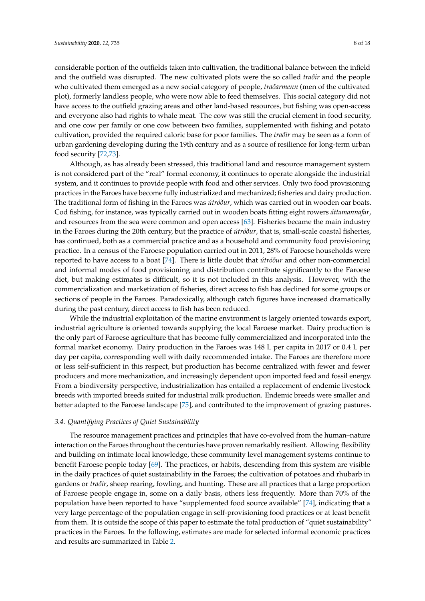considerable portion of the outfields taken into cultivation, the traditional balance between the infield and the outfield was disrupted. The new cultivated plots were the so called *traðir* and the people who cultivated them emerged as a new social category of people, *traðarmenn* (men of the cultivated plot), formerly landless people, who were now able to feed themselves. This social category did not have access to the outfield grazing areas and other land-based resources, but fishing was open-access and everyone also had rights to whale meat. The cow was still the crucial element in food security, and one cow per family or one cow between two families, supplemented with fishing and potato cultivation, provided the required caloric base for poor families. The *traðir* may be seen as a form of urban gardening developing during the 19th century and as a source of resilience for long-term urban food security [\[72,](#page-16-3)[73\]](#page-16-4).

Although, as has already been stressed, this traditional land and resource management system is not considered part of the "real" formal economy, it continues to operate alongside the industrial system, and it continues to provide people with food and other services. Only two food provisioning practices in the Faroes have become fully industrialized and mechanized; fisheries and dairy production. The traditional form of fishing in the Faroes was *útróður*, which was carried out in wooden oar boats. Cod fishing, for instance, was typically carried out in wooden boats fitting eight rowers *áttamannafar*, and resources from the sea were common and open access [\[63\]](#page-15-16). Fisheries became the main industry in the Faroes during the 20th century, but the practice of *útróður*, that is, small-scale coastal fisheries, has continued, both as a commercial practice and as a household and community food provisioning practice. In a census of the Faroese population carried out in 2011, 28% of Faroese households were reported to have access to a boat [\[74\]](#page-16-5). There is little doubt that *útróður* and other non-commercial and informal modes of food provisioning and distribution contribute significantly to the Faroese diet, but making estimates is difficult, so it is not included in this analysis. However, with the commercialization and marketization of fisheries, direct access to fish has declined for some groups or sections of people in the Faroes. Paradoxically, although catch figures have increased dramatically during the past century, direct access to fish has been reduced.

While the industrial exploitation of the marine environment is largely oriented towards export, industrial agriculture is oriented towards supplying the local Faroese market. Dairy production is the only part of Faroese agriculture that has become fully commercialized and incorporated into the formal market economy. Dairy production in the Faroes was 148 L per capita in 2017 or 0.4 L per day per capita, corresponding well with daily recommended intake. The Faroes are therefore more or less self-sufficient in this respect, but production has become centralized with fewer and fewer producers and more mechanization, and increasingly dependent upon imported feed and fossil energy. From a biodiversity perspective, industrialization has entailed a replacement of endemic livestock breeds with imported breeds suited for industrial milk production. Endemic breeds were smaller and better adapted to the Faroese landscape [\[75\]](#page-16-6), and contributed to the improvement of grazing pastures.

#### *3.4. Quantifying Practices of Quiet Sustainability*

The resource management practices and principles that have co-evolved from the human–nature interaction on the Faroes throughout the centuries have proven remarkably resilient. Allowing flexibility and building on intimate local knowledge, these community level management systems continue to benefit Faroese people today [\[69\]](#page-16-0). The practices, or habits, descending from this system are visible in the daily practices of quiet sustainability in the Faroes; the cultivation of potatoes and rhubarb in gardens or *traðir*, sheep rearing, fowling, and hunting. These are all practices that a large proportion of Faroese people engage in, some on a daily basis, others less frequently. More than 70% of the population have been reported to have "supplemented food source available" [\[74\]](#page-16-5), indicating that a very large percentage of the population engage in self-provisioning food practices or at least benefit from them. It is outside the scope of this paper to estimate the total production of "quiet sustainability" practices in the Faroes. In the following, estimates are made for selected informal economic practices and results are summarized in Table [2.](#page-8-0)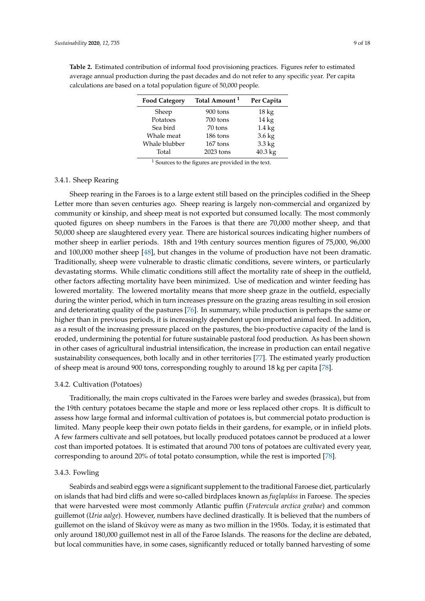| <b>Food Category</b> | Total Amount <sup>1</sup> | Per Capita         |  |
|----------------------|---------------------------|--------------------|--|
| Sheep                | 900 tons                  | $18 \text{ kg}$    |  |
| Potatoes             | 700 tons                  | $14 \text{ kg}$    |  |
| Sea bird             | 70 tons                   | $1.4\ \mathrm{kg}$ |  |
| Whale meat           | 186 tons                  | $3.6 \text{ kg}$   |  |
| Whale blubber        | $167$ tons                | $3.3 \text{ kg}$   |  |
| Total                | $2023$ tons               | 40.3 kg            |  |
|                      |                           |                    |  |

<span id="page-8-0"></span>**Table 2.** Estimated contribution of informal food provisioning practices. Figures refer to estimated average annual production during the past decades and do not refer to any specific year. Per capita calculations are based on a total population figure of 50,000 people.

<sup>1</sup> Sources to the figures are provided in the text.

#### 3.4.1. Sheep Rearing

Sheep rearing in the Faroes is to a large extent still based on the principles codified in the Sheep Letter more than seven centuries ago. Sheep rearing is largely non-commercial and organized by community or kinship, and sheep meat is not exported but consumed locally. The most commonly quoted figures on sheep numbers in the Faroes is that there are 70,000 mother sheep, and that 50,000 sheep are slaughtered every year. There are historical sources indicating higher numbers of mother sheep in earlier periods. 18th and 19th century sources mention figures of 75,000, 96,000 and 100,000 mother sheep [\[48\]](#page-15-3), but changes in the volume of production have not been dramatic. Traditionally, sheep were vulnerable to drastic climatic conditions, severe winters, or particularly devastating storms. While climatic conditions still affect the mortality rate of sheep in the outfield, other factors affecting mortality have been minimized. Use of medication and winter feeding has lowered mortality. The lowered mortality means that more sheep graze in the outfield, especially during the winter period, which in turn increases pressure on the grazing areas resulting in soil erosion and deteriorating quality of the pastures [\[76\]](#page-16-7). In summary, while production is perhaps the same or higher than in previous periods, it is increasingly dependent upon imported animal feed. In addition, as a result of the increasing pressure placed on the pastures, the bio-productive capacity of the land is eroded, undermining the potential for future sustainable pastoral food production. As has been shown in other cases of agricultural industrial intensification, the increase in production can entail negative sustainability consequences, both locally and in other territories [\[77\]](#page-16-8). The estimated yearly production of sheep meat is around 900 tons, corresponding roughly to around 18 kg per capita [\[78\]](#page-16-9).

#### 3.4.2. Cultivation (Potatoes)

Traditionally, the main crops cultivated in the Faroes were barley and swedes (brassica), but from the 19th century potatoes became the staple and more or less replaced other crops. It is difficult to assess how large formal and informal cultivation of potatoes is, but commercial potato production is limited. Many people keep their own potato fields in their gardens, for example, or in infield plots. A few farmers cultivate and sell potatoes, but locally produced potatoes cannot be produced at a lower cost than imported potatoes. It is estimated that around 700 tons of potatoes are cultivated every year, corresponding to around 20% of total potato consumption, while the rest is imported [\[78\]](#page-16-9).

#### 3.4.3. Fowling

Seabirds and seabird eggs were a significant supplement to the traditional Faroese diet, particularly on islands that had bird cliffs and were so-called birdplaces known as *fuglapláss* in Faroese. The species that were harvested were most commonly Atlantic puffin (*Fratercula arctica grabae*) and common guillemot (*Uria aalge*). However, numbers have declined drastically. It is believed that the numbers of guillemot on the island of Skúvoy were as many as two million in the 1950s. Today, it is estimated that only around 180,000 guillemot nest in all of the Faroe Islands. The reasons for the decline are debated, but local communities have, in some cases, significantly reduced or totally banned harvesting of some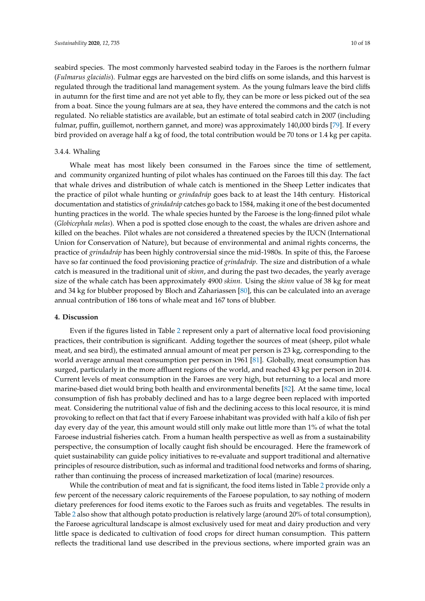seabird species. The most commonly harvested seabird today in the Faroes is the northern fulmar (*Fulmarus glacialis*). Fulmar eggs are harvested on the bird cliffs on some islands, and this harvest is regulated through the traditional land management system. As the young fulmars leave the bird cliffs in autumn for the first time and are not yet able to fly, they can be more or less picked out of the sea from a boat. Since the young fulmars are at sea, they have entered the commons and the catch is not regulated. No reliable statistics are available, but an estimate of total seabird catch in 2007 (including fulmar, puffin, guillemot, northern gannet, and more) was approximately 140,000 birds [\[79\]](#page-16-10). If every bird provided on average half a kg of food, the total contribution would be 70 tons or 1.4 kg per capita.

## 3.4.4. Whaling

Whale meat has most likely been consumed in the Faroes since the time of settlement, and community organized hunting of pilot whales has continued on the Faroes till this day. The fact that whale drives and distribution of whale catch is mentioned in the Sheep Letter indicates that the practice of pilot whale hunting or *grindadráp* goes back to at least the 14th century. Historical documentation and statistics of *grindadráp* catches go back to 1584, making it one of the best documented hunting practices in the world. The whale species hunted by the Faroese is the long-finned pilot whale (*Globicephala melas*). When a pod is spotted close enough to the coast, the whales are driven ashore and killed on the beaches. Pilot whales are not considered a threatened species by the IUCN (International Union for Conservation of Nature), but because of environmental and animal rights concerns, the practice of *grindadráp* has been highly controversial since the mid-1980s. In spite of this, the Faroese have so far continued the food provisioning practice of *grindadráp*. The size and distribution of a whale catch is measured in the traditional unit of *skinn*, and during the past two decades, the yearly average size of the whale catch has been approximately 4900 *skinn*. Using the *skinn* value of 38 kg for meat and 34 kg for blubber proposed by Bloch and Zahariassen [\[80\]](#page-16-11), this can be calculated into an average annual contribution of 186 tons of whale meat and 167 tons of blubber.

## **4. Discussion**

Even if the figures listed in Table [2](#page-8-0) represent only a part of alternative local food provisioning practices, their contribution is significant. Adding together the sources of meat (sheep, pilot whale meat, and sea bird), the estimated annual amount of meat per person is 23 kg, corresponding to the world average annual meat consumption per person in 1961 [\[81\]](#page-16-12). Globally, meat consumption has surged, particularly in the more affluent regions of the world, and reached 43 kg per person in 2014. Current levels of meat consumption in the Faroes are very high, but returning to a local and more marine-based diet would bring both health and environmental benefits [\[82\]](#page-16-13). At the same time, local consumption of fish has probably declined and has to a large degree been replaced with imported meat. Considering the nutritional value of fish and the declining access to this local resource, it is mind provoking to reflect on that fact that if every Faroese inhabitant was provided with half a kilo of fish per day every day of the year, this amount would still only make out little more than 1% of what the total Faroese industrial fisheries catch. From a human health perspective as well as from a sustainability perspective, the consumption of locally caught fish should be encouraged. Here the framework of quiet sustainability can guide policy initiatives to re-evaluate and support traditional and alternative principles of resource distribution, such as informal and traditional food networks and forms of sharing, rather than continuing the process of increased marketization of local (marine) resources.

While the contribution of meat and fat is significant, the food items listed in Table [2](#page-8-0) provide only a few percent of the necessary caloric requirements of the Faroese population, to say nothing of modern dietary preferences for food items exotic to the Faroes such as fruits and vegetables. The results in Table [2](#page-8-0) also show that although potato production is relatively large (around 20% of total consumption), the Faroese agricultural landscape is almost exclusively used for meat and dairy production and very little space is dedicated to cultivation of food crops for direct human consumption. This pattern reflects the traditional land use described in the previous sections, where imported grain was an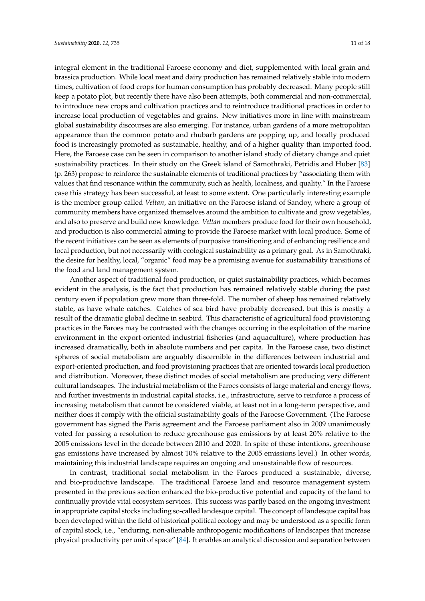integral element in the traditional Faroese economy and diet, supplemented with local grain and brassica production. While local meat and dairy production has remained relatively stable into modern times, cultivation of food crops for human consumption has probably decreased. Many people still keep a potato plot, but recently there have also been attempts, both commercial and non-commercial, to introduce new crops and cultivation practices and to reintroduce traditional practices in order to increase local production of vegetables and grains. New initiatives more in line with mainstream global sustainability discourses are also emerging. For instance, urban gardens of a more metropolitan appearance than the common potato and rhubarb gardens are popping up, and locally produced food is increasingly promoted as sustainable, healthy, and of a higher quality than imported food. Here, the Faroese case can be seen in comparison to another island study of dietary change and quiet sustainability practices. In their study on the Greek island of Samothraki, Petridis and Huber [\[83\]](#page-16-14) (p. 263) propose to reinforce the sustainable elements of traditional practices by "associating them with values that find resonance within the community, such as health, localness, and quality." In the Faroese case this strategy has been successful, at least to some extent. One particularly interesting example is the member group called *Veltan*, an initiative on the Faroese island of Sandoy, where a group of community members have organized themselves around the ambition to cultivate and grow vegetables, and also to preserve and build new knowledge. *Veltan* members produce food for their own household, and production is also commercial aiming to provide the Faroese market with local produce. Some of the recent initiatives can be seen as elements of purposive transitioning and of enhancing resilience and local production, but not necessarily with ecological sustainability as a primary goal. As in Samothraki, the desire for healthy, local, "organic" food may be a promising avenue for sustainability transitions of the food and land management system.

Another aspect of traditional food production, or quiet sustainability practices, which becomes evident in the analysis, is the fact that production has remained relatively stable during the past century even if population grew more than three-fold. The number of sheep has remained relatively stable, as have whale catches. Catches of sea bird have probably decreased, but this is mostly a result of the dramatic global decline in seabird. This characteristic of agricultural food provisioning practices in the Faroes may be contrasted with the changes occurring in the exploitation of the marine environment in the export-oriented industrial fisheries (and aquaculture), where production has increased dramatically, both in absolute numbers and per capita. In the Faroese case, two distinct spheres of social metabolism are arguably discernible in the differences between industrial and export-oriented production, and food provisioning practices that are oriented towards local production and distribution. Moreover, these distinct modes of social metabolism are producing very different cultural landscapes. The industrial metabolism of the Faroes consists of large material and energy flows, and further investments in industrial capital stocks, i.e., infrastructure, serve to reinforce a process of increasing metabolism that cannot be considered viable, at least not in a long-term perspective, and neither does it comply with the official sustainability goals of the Faroese Government. (The Faroese government has signed the Paris agreement and the Faroese parliament also in 2009 unanimously voted for passing a resolution to reduce greenhouse gas emissions by at least 20% relative to the 2005 emissions level in the decade between 2010 and 2020. In spite of these intentions, greenhouse gas emissions have increased by almost 10% relative to the 2005 emissions level.) In other words, maintaining this industrial landscape requires an ongoing and unsustainable flow of resources.

In contrast, traditional social metabolism in the Faroes produced a sustainable, diverse, and bio-productive landscape. The traditional Faroese land and resource management system presented in the previous section enhanced the bio-productive potential and capacity of the land to continually provide vital ecosystem services. This success was partly based on the ongoing investment in appropriate capital stocks including so-called landesque capital. The concept of landesque capital has been developed within the field of historical political ecology and may be understood as a specific form of capital stock, i.e., "enduring, non-alienable anthropogenic modifications of landscapes that increase physical productivity per unit of space" [\[84\]](#page-16-15). It enables an analytical discussion and separation between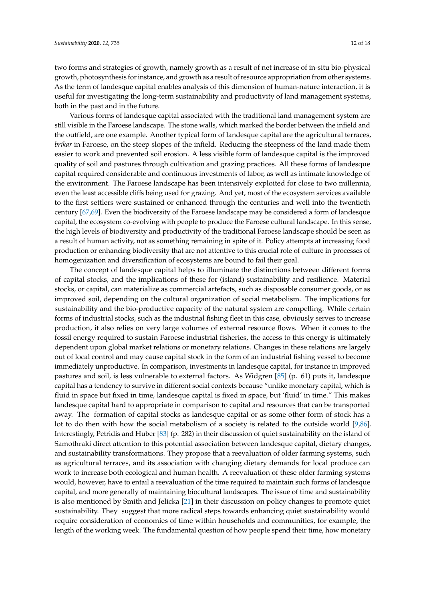two forms and strategies of growth, namely growth as a result of net increase of in-situ bio-physical growth, photosynthesis for instance, and growth as a result of resource appropriation from other systems. As the term of landesque capital enables analysis of this dimension of human-nature interaction, it is useful for investigating the long-term sustainability and productivity of land management systems, both in the past and in the future.

Various forms of landesque capital associated with the traditional land management system are still visible in the Faroese landscape. The stone walls, which marked the border between the infield and the outfield, are one example. Another typical form of landesque capital are the agricultural terraces, *bríkar* in Faroese, on the steep slopes of the infield. Reducing the steepness of the land made them easier to work and prevented soil erosion. A less visible form of landesque capital is the improved quality of soil and pastures through cultivation and grazing practices. All these forms of landesque capital required considerable and continuous investments of labor, as well as intimate knowledge of the environment. The Faroese landscape has been intensively exploited for close to two millennia, even the least accessible cliffs being used for grazing. And yet, most of the ecosystem services available to the first settlers were sustained or enhanced through the centuries and well into the twentieth century [\[67,](#page-15-20)[69\]](#page-16-0). Even the biodiversity of the Faroese landscape may be considered a form of landesque capital, the ecosystem co-evolving with people to produce the Faroese cultural landscape. In this sense, the high levels of biodiversity and productivity of the traditional Faroese landscape should be seen as a result of human activity, not as something remaining in spite of it. Policy attempts at increasing food production or enhancing biodiversity that are not attentive to this crucial role of culture in processes of homogenization and diversification of ecosystems are bound to fail their goal.

The concept of landesque capital helps to illuminate the distinctions between different forms of capital stocks, and the implications of these for (island) sustainability and resilience. Material stocks, or capital, can materialize as commercial artefacts, such as disposable consumer goods, or as improved soil, depending on the cultural organization of social metabolism. The implications for sustainability and the bio-productive capacity of the natural system are compelling. While certain forms of industrial stocks, such as the industrial fishing fleet in this case, obviously serves to increase production, it also relies on very large volumes of external resource flows. When it comes to the fossil energy required to sustain Faroese industrial fisheries, the access to this energy is ultimately dependent upon global market relations or monetary relations. Changes in these relations are largely out of local control and may cause capital stock in the form of an industrial fishing vessel to become immediately unproductive. In comparison, investments in landesque capital, for instance in improved pastures and soil, is less vulnerable to external factors. As Widgren [\[85\]](#page-16-16) (p. 61) puts it, landesque capital has a tendency to survive in different social contexts because "unlike monetary capital, which is fluid in space but fixed in time, landesque capital is fixed in space, but 'fluid' in time." This makes landesque capital hard to appropriate in comparison to capital and resources that can be transported away. The formation of capital stocks as landesque capital or as some other form of stock has a lot to do then with how the social metabolism of a society is related to the outside world [\[9,](#page-13-15)[86\]](#page-16-17). Interestingly, Petridis and Huber [\[83\]](#page-16-14) (p. 282) in their discussion of quiet sustainability on the island of Samothraki direct attention to this potential association between landesque capital, dietary changes, and sustainability transformations. They propose that a reevaluation of older farming systems, such as agricultural terraces, and its association with changing dietary demands for local produce can work to increase both ecological and human health. A reevaluation of these older farming systems would, however, have to entail a reevaluation of the time required to maintain such forms of landesque capital, and more generally of maintaining biocultural landscapes. The issue of time and sustainability is also mentioned by Smith and Jelicka [\[21\]](#page-14-1) in their discussion on policy changes to promote quiet sustainability. They suggest that more radical steps towards enhancing quiet sustainability would require consideration of economies of time within households and communities, for example, the length of the working week. The fundamental question of how people spend their time, how monetary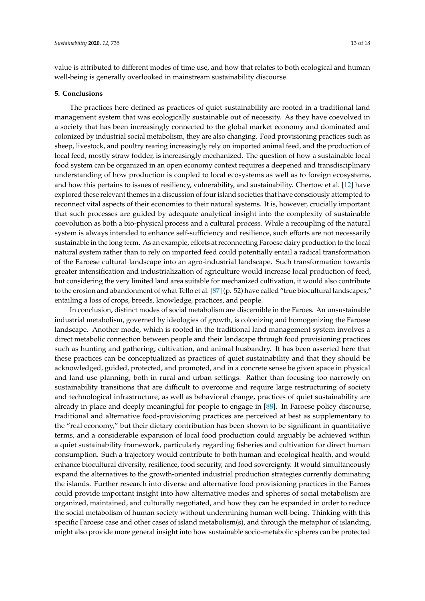value is attributed to different modes of time use, and how that relates to both ecological and human well-being is generally overlooked in mainstream sustainability discourse.

#### **5. Conclusions**

The practices here defined as practices of quiet sustainability are rooted in a traditional land management system that was ecologically sustainable out of necessity. As they have coevolved in a society that has been increasingly connected to the global market economy and dominated and colonized by industrial social metabolism, they are also changing. Food provisioning practices such as sheep, livestock, and poultry rearing increasingly rely on imported animal feed, and the production of local feed, mostly straw fodder, is increasingly mechanized. The question of how a sustainable local food system can be organized in an open economy context requires a deepened and transdisciplinary understanding of how production is coupled to local ecosystems as well as to foreign ecosystems, and how this pertains to issues of resiliency, vulnerability, and sustainability. Chertow et al. [\[12\]](#page-13-7) have explored these relevant themes in a discussion of four island societies that have consciously attempted to reconnect vital aspects of their economies to their natural systems. It is, however, crucially important that such processes are guided by adequate analytical insight into the complexity of sustainable coevolution as both a bio-physical process and a cultural process. While a recoupling of the natural system is always intended to enhance self-sufficiency and resilience, such efforts are not necessarily sustainable in the long term. As an example, efforts at reconnecting Faroese dairy production to the local natural system rather than to rely on imported feed could potentially entail a radical transformation of the Faroese cultural landscape into an agro-industrial landscape. Such transformation towards greater intensification and industrialization of agriculture would increase local production of feed, but considering the very limited land area suitable for mechanized cultivation, it would also contribute to the erosion and abandonment of what Tello et al. [\[87\]](#page-17-0) (p. 52) have called "true biocultural landscapes," entailing a loss of crops, breeds, knowledge, practices, and people.

In conclusion, distinct modes of social metabolism are discernible in the Faroes. An unsustainable industrial metabolism, governed by ideologies of growth, is colonizing and homogenizing the Faroese landscape. Another mode, which is rooted in the traditional land management system involves a direct metabolic connection between people and their landscape through food provisioning practices such as hunting and gathering, cultivation, and animal husbandry. It has been asserted here that these practices can be conceptualized as practices of quiet sustainability and that they should be acknowledged, guided, protected, and promoted, and in a concrete sense be given space in physical and land use planning, both in rural and urban settings. Rather than focusing too narrowly on sustainability transitions that are difficult to overcome and require large restructuring of society and technological infrastructure, as well as behavioral change, practices of quiet sustainability are already in place and deeply meaningful for people to engage in [\[88\]](#page-17-1). In Faroese policy discourse, traditional and alternative food-provisioning practices are perceived at best as supplementary to the "real economy," but their dietary contribution has been shown to be significant in quantitative terms, and a considerable expansion of local food production could arguably be achieved within a quiet sustainability framework, particularly regarding fisheries and cultivation for direct human consumption. Such a trajectory would contribute to both human and ecological health, and would enhance biocultural diversity, resilience, food security, and food sovereignty. It would simultaneously expand the alternatives to the growth-oriented industrial production strategies currently dominating the islands. Further research into diverse and alternative food provisioning practices in the Faroes could provide important insight into how alternative modes and spheres of social metabolism are organized, maintained, and culturally negotiated, and how they can be expanded in order to reduce the social metabolism of human society without undermining human well-being. Thinking with this specific Faroese case and other cases of island metabolism(s), and through the metaphor of islanding, might also provide more general insight into how sustainable socio-metabolic spheres can be protected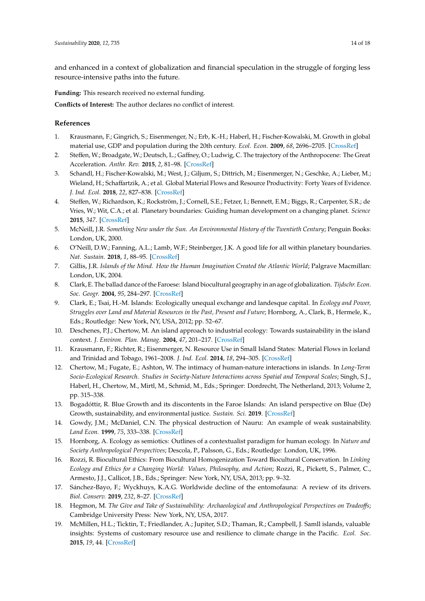and enhanced in a context of globalization and financial speculation in the struggle of forging less resource-intensive paths into the future.

**Funding:** This research received no external funding.

**Conflicts of Interest:** The author declares no conflict of interest.

# **References**

- <span id="page-13-0"></span>1. Krausmann, F.; Gingrich, S.; Eisenmenger, N.; Erb, K.-H.; Haberl, H.; Fischer-Kowalski, M. Growth in global material use, GDP and population during the 20th century. *Ecol. Econ.* **2009**, *68*, 2696–2705. [\[CrossRef\]](http://dx.doi.org/10.1016/j.ecolecon.2009.05.007)
- 2. Steffen, W.; Broadgate, W.; Deutsch, L.; Gaffney, O.; Ludwig, C. The trajectory of the Anthropocene: The Great Acceleration. *Anthr. Rev.* **2015**, *2*, 81–98. [\[CrossRef\]](http://dx.doi.org/10.1177/2053019614564785)
- 3. Schandl, H.; Fischer-Kowalski, M.; West, J.; Giljum, S.; Dittrich, M.; Eisenmerger, N.; Geschke, A.; Lieber, M.; Wieland, H.; Schaffartzik, A.; et al. Global Material Flows and Resource Productivity: Forty Years of Evidence. *J. Ind. Ecol.* **2018**, *22*, 827–838. [\[CrossRef\]](http://dx.doi.org/10.1111/jiec.12626)
- <span id="page-13-1"></span>4. Steffen, W.; Richardson, K.; Rockström, J.; Cornell, S.E.; Fetzer, I.; Bennett, E.M.; Biggs, R.; Carpenter, S.R.; de Vries, W.; Wit, C.A.; et al. Planetary boundaries: Guiding human development on a changing planet. *Science* **2015**, *347*. [\[CrossRef\]](http://dx.doi.org/10.1126/science.1259855)
- <span id="page-13-2"></span>5. McNeill, J.R. *Something New under the Sun. An Environmental History of the Twentieth Century*; Penguin Books: London, UK, 2000.
- <span id="page-13-3"></span>6. O'Neill, D.W.; Fanning, A.L.; Lamb, W.F.; Steinberger, J.K. A good life for all within planetary boundaries. *Nat. Sustain.* **2018**, *1*, 88–95. [\[CrossRef\]](http://dx.doi.org/10.1038/s41893-018-0021-4)
- <span id="page-13-4"></span>7. Gillis, J.R. *Islands of the Mind. How the Human Imagination Created the Atlantic World*; Palgrave Macmillan: London, UK, 2004.
- <span id="page-13-5"></span>8. Clark, E. The ballad dance of the Faroese: Island biocultural geography in an age of globalization. *Tijdschr. Econ. Soc. Geogr.* **2004**, *95*, 284–297. [\[CrossRef\]](http://dx.doi.org/10.1111/j.1467-9663.2004.00308.x)
- <span id="page-13-15"></span>9. Clark, E.; Tsai, H.-M. Islands: Ecologically unequal exchange and landesque capital. In *Ecology and Power, Struggles over Land and Material Resources in the Past, Present and Future*; Hornborg, A., Clark, B., Hermele, K., Eds.; Routledge: New York, NY, USA, 2012; pp. 52–67.
- 10. Deschenes, P.J.; Chertow, M. An island approach to industrial ecology: Towards sustainability in the island context. *J. Environ. Plan. Manag.* **2004**, *47*, 201–217. [\[CrossRef\]](http://dx.doi.org/10.1080/0964056042000209102)
- <span id="page-13-6"></span>11. Krausmann, F.; Richter, R.; Eisenmerger, N. Resource Use in Small Island States: Material Flows in Iceland and Trinidad and Tobago, 1961–2008. *J. Ind. Ecol.* **2014**, *18*, 294–305. [\[CrossRef\]](http://dx.doi.org/10.1111/jiec.12100)
- <span id="page-13-7"></span>12. Chertow, M.; Fugate, E.; Ashton, W. The intimacy of human-nature interactions in islands. In *Long-Term Socio-Ecological Research. Studies in Society-Nature Interactions across Spatial and Temporal Scales*; Singh, S.J., Haberl, H., Chertow, M., Mirtl, M., Schmid, M., Eds.; Springer: Dordrecht, The Netherland, 2013; Volume 2, pp. 315–338.
- <span id="page-13-8"></span>13. Bogadóttir, R. Blue Growth and its discontents in the Faroe Islands: An island perspective on Blue (De) Growth, sustainability, and environmental justice. *Sustain. Sci.* **2019**. [\[CrossRef\]](http://dx.doi.org/10.1007/s11625-019-00763-z)
- <span id="page-13-9"></span>14. Gowdy, J.M.; McDaniel, C.N. The physical destruction of Nauru: An example of weak sustainability. *Land Econ.* **1999**, *75*, 333–338. [\[CrossRef\]](http://dx.doi.org/10.2307/3147015)
- <span id="page-13-10"></span>15. Hornborg, A. Ecology as semiotics: Outlines of a contextualist paradigm for human ecology. In *Nature and Society Anthropological Perspectives*; Descola, P., Palsson, G., Eds.; Routledge: London, UK, 1996.
- <span id="page-13-11"></span>16. Rozzi, R. Biocultural Ethics: From Biocultural Homogenization Toward Biocultural Conservation. In *Linking Ecology and Ethics for a Changing World: Values, Philosophy, and Action*; Rozzi, R., Pickett, S., Palmer, C., Armesto, J.J., Callicot, J.B., Eds.; Springer: New York, NY, USA, 2013; pp. 9–32.
- <span id="page-13-12"></span>17. Sánchez-Bayo, F.; Wyckhuys, K.A.G. Worldwide decline of the entomofauna: A review of its drivers. *Biol. Conserv.* **2019**, *232*, 8–27. [\[CrossRef\]](http://dx.doi.org/10.1016/j.biocon.2019.01.020)
- <span id="page-13-13"></span>18. Hegmon, M. *The Give and Take of Sustainability: Archaeological and Anthropological Perspectives on Tradeo*ff*s*; Cambridge University Press: New York, NY, USA, 2017.
- <span id="page-13-14"></span>19. McMillen, H.L.; Ticktin, T.; Friedlander, A.; Jupiter, S.D.; Thaman, R.; Campbell, J. Samll islands, valuable insights: Systems of customary resource use and resilience to climate change in the Pacific. *Ecol. Soc.* **2015**, *19*, 44. [\[CrossRef\]](http://dx.doi.org/10.5751/ES-06937-190444)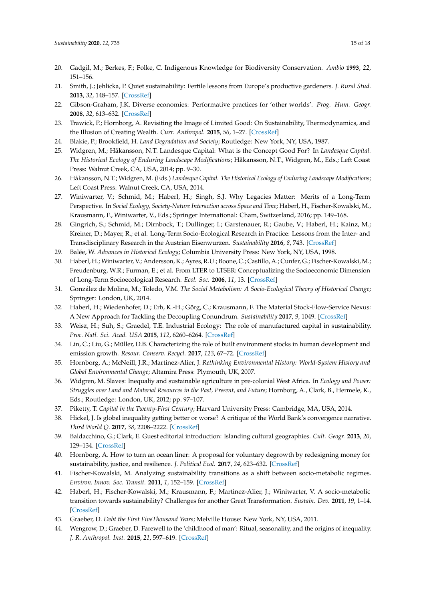- <span id="page-14-0"></span>20. Gadgil, M.; Berkes, F.; Folke, C. Indigenous Knowledge for Biodiversity Conservation. *Ambio* **1993**, *22*, 151–156.
- <span id="page-14-1"></span>21. Smith, J.; Jehlicka, P. Quiet sustainability: Fertile lessons from Europe's productive gardeners. *J. Rural Stud.* **2013**, *32*, 148–157. [\[CrossRef\]](http://dx.doi.org/10.1016/j.jrurstud.2013.05.002)
- <span id="page-14-2"></span>22. Gibson-Graham, J.K. Diverse economies: Performative practices for 'other worlds'. *Prog. Hum. Geogr.* **2008**, *32*, 613–632. [\[CrossRef\]](http://dx.doi.org/10.1177/0309132508090821)
- <span id="page-14-3"></span>23. Trawick, P.; Hornborg, A. Revisiting the Image of Limited Good: On Sustainability, Thermodynamics, and the Illusion of Creating Wealth. *Curr. Anthropol.* **2015**, *56*, 1–27. [\[CrossRef\]](http://dx.doi.org/10.1086/679593)
- <span id="page-14-4"></span>24. Blakie, P.; Brookfield, H. *Land Degradation and Society*; Routledge: New York, NY, USA, 1987.
- 25. Widgren, M.; Håkansson, N.T. Landesque Capital: What is the Concept Good For? In *Landesque Capital. The Historical Ecology of Enduring Landscape Modifications*; Håkansson, N.T., Widgren, M., Eds.; Left Coast Press: Walnut Creek, CA, USA, 2014; pp. 9–30.
- 26. Håkansson, N.T.; Widgren, M. (Eds.) *Landesque Capital. The Historical Ecology of Enduring Landscape Modifications*; Left Coast Press: Walnut Creek, CA, USA, 2014.
- 27. Winiwarter, V.; Schmid, M.; Haberl, H.; Singh, S.J. Why Legacies Matter: Merits of a Long-Term Perspective. In *Social Ecology, Society-Nature Interaction across Space and Time*; Haberl, H., Fischer-Kowalski, M., Krausmann, F., Winiwarter, V., Eds.; Springer International: Cham, Switzerland, 2016; pp. 149–168.
- 28. Gingrich, S.; Schmid, M.; Dirnbock, T.; Dullinger, I.; Garstenauer, R.; Gaube, V.; Haberl, H.; Kainz, M.; Kreiner, D.; Mayer, R.; et al. Long-Term Socio-Ecological Research in Practice: Lessons from the Inter- and Transdisciplinary Research in the Austrian Eisenwurzen. *Sustainability* **2016**, *8*, 743. [\[CrossRef\]](http://dx.doi.org/10.3390/su8080743)
- 29. Balée, W. *Advances in Historical Ecology*; Columbia University Press: New York, NY, USA, 1998.
- 30. Haberl, H.; Winiwarter, V.; Andersson, K.; Ayres, R.U.; Boone, C.; Castillo, A.; Cunfer, G.; Fischer-Kowalski, M.; Freudenburg, W.R.; Furman, E.; et al. From LTER to LTSER: Conceptualizing the Socioeconomic Dimension of Long-Term Socioecological Research. *Ecol. Soc.* **2006**, *11*, 13. [\[CrossRef\]](http://dx.doi.org/10.5751/ES-01786-110213)
- <span id="page-14-5"></span>31. González de Molina, M.; Toledo, V.M. *The Social Metabolism: A Socio-Ecological Theory of Historical Change*; Springer: London, UK, 2014.
- <span id="page-14-6"></span>32. Haberl, H.; Wiedenhofer, D.; Erb, K.-H.; Görg, C.; Krausmann, F. The Material Stock-Flow-Service Nexus: A New Approach for Tackling the Decoupling Conundrum. *Sustainability* **2017**, *9*, 1049. [\[CrossRef\]](http://dx.doi.org/10.3390/su9071049)
- 33. Weisz, H.; Suh, S.; Graedel, T.E. Industrial Ecology: The role of manufactured capital in sustainability. *Proc. Natl. Sci. Acad. USA* **2015**, *112*, 6260–6264. [\[CrossRef\]](http://dx.doi.org/10.1073/pnas.1506532112)
- <span id="page-14-7"></span>34. Lin, C.; Liu, G.; Müller, D.B. Characterizing the role of built environment stocks in human development and emission growth. *Resour. Conserv. Recycl.* **2017**, *123*, 67–72. [\[CrossRef\]](http://dx.doi.org/10.1016/j.resconrec.2016.07.004)
- <span id="page-14-8"></span>35. Hornborg, A.; McNeill, J.R.; Martinez-Alier, J. *Rethinking Environmental History: World-System History and Global Environmental Change*; Altamira Press: Plymouth, UK, 2007.
- <span id="page-14-9"></span>36. Widgren, M. Slaves: Inequaliy and sustainable agriculture in pre-colonial West Africa. In *Ecology and Power: Struggles over Land and Material Resources in the Past, Present, and Future*; Hornborg, A., Clark, B., Hermele, K., Eds.; Routledge: London, UK, 2012; pp. 97–107.
- <span id="page-14-10"></span>37. Piketty, T. *Capital in the Twenty-First Century*; Harvard University Press: Cambridge, MA, USA, 2014.
- <span id="page-14-11"></span>38. Hickel, J. Is global inequality getting better or worse? A critique of the World Bank's convergence narrative. *Third World Q.* **2017**, *38*, 2208–2222. [\[CrossRef\]](http://dx.doi.org/10.1080/01436597.2017.1333414)
- <span id="page-14-12"></span>39. Baldacchino, G.; Clark, E. Guest editorial introduction: Islanding cultural geographies. *Cult. Geogr.* **2013**, *20*, 129–134. [\[CrossRef\]](http://dx.doi.org/10.1177/1474474012469594)
- <span id="page-14-13"></span>40. Hornborg, A. How to turn an ocean liner: A proposal for voluntary degrowth by redesigning money for sustainability, justice, and resilience. *J. Political Ecol.* **2017**, *24*, 623–632. [\[CrossRef\]](http://dx.doi.org/10.2458/v24i1.20900)
- <span id="page-14-14"></span>41. Fischer-Kowalski, M. Analyzing sustainability transitions as a shift between socio-metabolic regimes. *Environ. Innov. Soc. Transit.* **2011**, *1*, 152–159. [\[CrossRef\]](http://dx.doi.org/10.1016/j.eist.2011.04.004)
- <span id="page-14-15"></span>42. Haberl, H.; Fischer-Kowalski, M.; Krausmann, F.; Martinez-Alier, J.; Winiwarter, V. A socio-metabolic transition towards sustainability? Challenges for another Great Transformation. *Sustain. Dev.* **2011**, *19*, 1–14. [\[CrossRef\]](http://dx.doi.org/10.1002/sd.410)
- <span id="page-14-16"></span>43. Graeber, D. *Debt the First FiveThousand Years*; Melville House: New York, NY, USA, 2011.
- <span id="page-14-17"></span>44. Wengrow, D.; Graeber, D. Farewell to the 'childhood of man': Ritual, seasonality, and the origins of inequality. *J. R. Anthropol. Inst.* **2015**, *21*, 597–619. [\[CrossRef\]](http://dx.doi.org/10.1111/1467-9655.12247)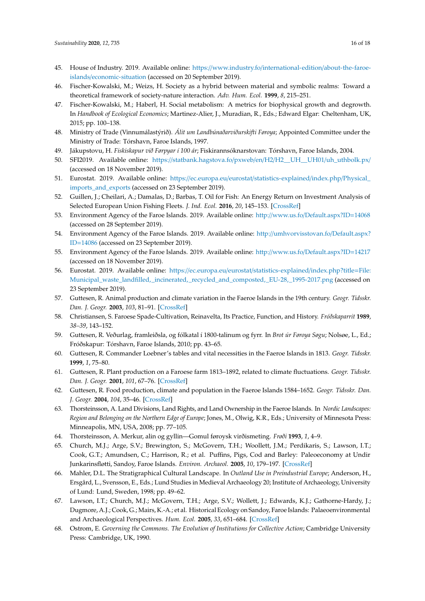- <span id="page-15-0"></span>45. House of Industry. 2019. Available online: https://www.industry.fo/[international-edition](https://www.industry.fo/international-edition/about-the-faroe-islands/economic-situation)/about-the-faroeislands/[economic-situation](https://www.industry.fo/international-edition/about-the-faroe-islands/economic-situation) (accessed on 20 September 2019).
- <span id="page-15-1"></span>46. Fischer-Kowalski, M.; Weizs, H. Society as a hybrid between material and symbolic realms: Toward a theoretical framework of society-nature interaction. *Adv. Hum. Ecol.* **1999**, *8*, 215–251.
- <span id="page-15-2"></span>47. Fischer-Kowalski, M.; Haberl, H. Social metabolism: A metrics for biophysical growth and degrowth. In *Handbook of Ecological Economics*; Martinez-Alier, J., Muradian, R., Eds.; Edward Elgar: Cheltenham, UK, 2015; pp. 100–138.
- <span id="page-15-3"></span>48. Ministry of Trade (Vinnumálastýrið). *Álit um Landbúnaðarviðurskifti Føroya*; Appointed Committee under the Ministry of Trade: Tórshavn, Faroe Islands, 1997.
- <span id="page-15-4"></span>49. Jákupstovu, H. *Fiskiskapur við Førpyar í 100 ár*; Fiskirannsóknarstovan: Tórshavn, Faroe Islands, 2004.
- <span id="page-15-5"></span>50. SFI2019. Available online: https://[statbank.hagstova.fo](https://statbank.hagstova.fo/pxweb/en/H2/H2__UH__UH01/uh_uthbolk.px/)/pxweb/en/H2/H2\_\_UH\_\_UH01/uh\_uthbolk.px/ (accessed on 18 November 2019).
- <span id="page-15-6"></span>51. Eurostat. 2019. Available online: https://ec.europa.eu/eurostat/[statistics-explained](https://ec.europa.eu/eurostat/statistics-explained/index.php/Physical_imports_and_exports)/index.php/Physical\_ [imports\\_and\\_exports](https://ec.europa.eu/eurostat/statistics-explained/index.php/Physical_imports_and_exports) (accessed on 23 September 2019).
- <span id="page-15-7"></span>52. Guillen, J.; Cheilari, A.; Damalas, D.; Barbas, T. Oil for Fish: An Energy Return on Investment Analysis of Selected European Union Fishing Fleets. *J. Ind. Ecol.* **2016**, *20*, 145–153. [\[CrossRef\]](http://dx.doi.org/10.1111/jiec.12272)
- <span id="page-15-8"></span>53. Environment Agency of the Faroe Islands. 2019. Available online: http://www.us.fo/[Default.aspx?ID](http://www.us.fo/Default.aspx?ID=14068)=14068 (accessed on 28 September 2019).
- <span id="page-15-9"></span>54. Environment Agency of the Faroe Islands. 2019. Available online: http://[umhvorvisstovan.fo](http://umhvorvisstovan.fo/Default.aspx?ID=14086)/Default.aspx? ID=[14086](http://umhvorvisstovan.fo/Default.aspx?ID=14086) (accessed on 23 September 2019).
- <span id="page-15-10"></span>55. Environment Agency of the Faroe Islands. 2019. Available online: http://www.us.fo/[Default.aspx?ID](http://www.us.fo/Default.aspx?ID=14217)=14217 (accessed on 18 November 2019).
- <span id="page-15-11"></span>56. Eurostat. 2019. Available online: https://ec.europa.eu/eurostat/[statistics-explained](https://ec.europa.eu/eurostat/statistics-explained/index.php?title=File:Municipal_waste_landfilled,_incinerated,_recycled_and_composted,_EU-28,_1995-2017.png)/index.php?title=File: [Municipal\\_waste\\_landfilled,\\_incinerated,\\_recycled\\_and\\_composted,\\_EU-28,\\_1995-2017.png](https://ec.europa.eu/eurostat/statistics-explained/index.php?title=File:Municipal_waste_landfilled,_incinerated,_recycled_and_composted,_EU-28,_1995-2017.png) (accessed on 23 September 2019).
- <span id="page-15-12"></span>57. Guttesen, R. Animal production and climate variation in the Faeroe Islands in the 19th century. *Geogr. Tidsskr. Dan. J. Geogr.* **2003**, *103*, 81–91. [\[CrossRef\]](http://dx.doi.org/10.1080/00167223.2003.10649494)
- <span id="page-15-13"></span>58. Christiansen, S. Faroese Spade-Cultivation, Reinavelta, Its Practice, Function, and History. *Fróðskaparrit* **1989**, *38–39*, 143–152.
- <span id="page-15-14"></span>59. Guttesen, R. Veðurlag, framleiðsla, og fólkatal í 1800-talinum og fyrr. In *Brot úr Føroya Søgu*; Nolsøe, L., Ed.; Fróðskapur: Tórshavn, Faroe Islands, 2010; pp. 43–65.
- 60. Guttesen, R. Commander Loebner's tables and vital necessities in the Faeroe Islands in 1813. *Geogr. Tidsskr.* **1999**, *1*, 75–80.
- 61. Guttesen, R. Plant production on a Faroese farm 1813–1892, related to climate fluctuations. *Geogr. Tidsskr. Dan. J. Geogr.* **2001**, *101*, 67–76. [\[CrossRef\]](http://dx.doi.org/10.1080/00167223.2001.10649451)
- <span id="page-15-15"></span>62. Guttesen, R. Food production, climate and population in the Faeroe Islands 1584–1652. *Geogr. Tidsskr. Dan. J. Geogr.* **2004**, *104*, 35–46. [\[CrossRef\]](http://dx.doi.org/10.1080/00167223.2004.10649517)
- <span id="page-15-16"></span>63. Thorsteinsson, A. Land Divisions, Land Rights, and Land Ownership in the Faeroe Islands. In *Nordic Landscapes: Region and Belonging on the Northern Edge of Europe*; Jones, M., Olwig, K.R., Eds.; University of Minnesota Press: Minneapolis, MN, USA, 2008; pp. 77–105.
- <span id="page-15-18"></span><span id="page-15-17"></span>64. Thorsteinsson, A. Merkur, alin og gyllin—Gomul føroysk virðismeting. *Frøði* **1993**, *1*, 4–9.
- 65. Church, M.J.; Arge, S.V.; Brewington, S.; McGovern, T.H.; Woollett, J.M.; Perdikaris, S.; Lawson, I.T.; Cook, G.T.; Amundsen, C.; Harrison, R.; et al. Puffins, Pigs, Cod and Barley: Paleoeconomy at Undir Junkarinsfløtti, Sandoy, Faroe Islands. *Environ. Archaeol.* **2005**, *10*, 179–197. [\[CrossRef\]](http://dx.doi.org/10.1179/env.2005.10.2.179)
- <span id="page-15-19"></span>66. Mahler, D.L. The Stratigraphical Cultural Landscape. In *Outland Use in Preindustrial Europe*; Anderson, H., Ersgård, L., Svensson, E., Eds.; Lund Studies in Medieval Archaeology 20; Institute of Archaeology, University of Lund: Lund, Sweden, 1998; pp. 49–62.
- <span id="page-15-20"></span>67. Lawson, I.T.; Church, M.J.; McGovern, T.H.; Arge, S.V.; Wollett, J.; Edwards, K.J.; Gathorne-Hardy, J.; Dugmore, A.J.; Cook, G.; Mairs, K.-A.; et al. Historical Ecology on Sandoy, Faroe Islands: Palaeoenvironmental and Archaeological Perspectives. *Hum. Ecol.* **2005**, *33*, 651–684. [\[CrossRef\]](http://dx.doi.org/10.1007/s10745-005-7681-1)
- <span id="page-15-21"></span>68. Ostrom, E. *Governing the Commons. The Evolution of Institutions for Collective Action*; Cambridge University Press: Cambridge, UK, 1990.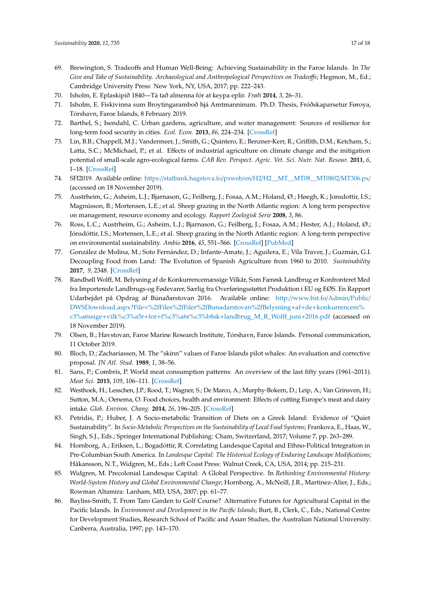- <span id="page-16-0"></span>69. Brewington, S. Tradeoffs and Human Well-Being: Achieving Sustainability in the Faroe Islands. In *The Give and Take of Sustainability. Archaeological and Anthropological Perspectives on Tradeo*ff*s*; Hegmon, M., Ed.; Cambridge University Press: New York, NY, USA, 2017; pp. 222–243.
- <span id="page-16-1"></span>70. Isholm, E. Eplaskipið 1840—Tá tað almenna fór at keypa eplir. *Frøði* **2014**, *3*, 26–31.
- <span id="page-16-2"></span>71. Isholm, E. Fiskivinna sum Broytingaramboð hjá Amtmanninum. Ph.D. Thesis, Fróðskaparsetur Føroya, Tórshavn, Faroe Islands, 8 February 2019.
- <span id="page-16-3"></span>72. Barthel, S.; Isendahl, C. Urban gardens, agriculture, and water management: Sources of resilience for long-term food security in cities. *Ecol. Econ.* **2013**, *86*, 224–234. [\[CrossRef\]](http://dx.doi.org/10.1016/j.ecolecon.2012.06.018)
- <span id="page-16-4"></span>73. Lin, B.B.; Chappell, M.J.; Vandermeer, J.; Smith, G.; Quintero, E.; Benzner-Kerr, R.; Griffith, D.M.; Ketcham, S.; Latta, S.C.; McMichael, P.; et al. Effects of industrial agriculture on climate change and the mitigation potential of small-scale agro-ecological farms. *CAB Rev. Perspect. Agric. Vet. Sci. Nutr. Nat. Resour.* **2011**, *6*, 1–18. [\[CrossRef\]](http://dx.doi.org/10.1079/PAVSNNR20116020)
- <span id="page-16-5"></span>74. SFI2019. Available online: https://statbank.hagstova.fo/pxweb/en/H2/[H2\\_\\_MT\\_\\_MT08\\_\\_MT0802](https://statbank.hagstova.fo/pxweb/en/H2/H2__MT__MT08__MT0802/MT306.px/)/MT306.px/ (accessed on 18 November 2019).
- <span id="page-16-6"></span>75. Austrheim, G.; Asheim, L.J.; Bjarnason, G.; Feilberg, J.; Fosaa, A.M.; Holand, Ø.; Høegh, K.; Jonsdottir, I.S.; Magnússon, B.; Mortensen, L.E.; et al. Sheep grazing in the North Atlantic region: A long term perspective on management, resource economy and ecology. *Rapport Zoologisk Serie* **2008**, *3*, 86.
- <span id="page-16-7"></span>76. Ross, L.C.; Austrheim, G.; Asheim, L.J.; Bjarnason, G.; Feilberg, J.; Fosaa, A.M.; Hester, A.J.; Holand, Ø.; Jónsdóttir, I.S.; Mortensen, L.E.; et al. Sheep grazing in the North Atlantic region: A long-term perspective on environmental sustainability. *Ambio* **2016**, *45*, 551–566. [\[CrossRef\]](http://dx.doi.org/10.1007/s13280-016-0771-z) [\[PubMed\]](http://www.ncbi.nlm.nih.gov/pubmed/26932602)
- <span id="page-16-8"></span>77. González de Molina, M.; Soto Fernández, D.; Infante-Amate, J.; Aguilera, E.; Vila Traver, J.; Guzmán, G.I. Decoupling Food from Land: The Evolution of Spanish Agriculture from 1960 to 2010. *Sustainability* **2017**, *9*, 2348. [\[CrossRef\]](http://dx.doi.org/10.3390/su9122348)
- <span id="page-16-9"></span>78. Randbøll Wolff, M. Belysning af de Konkurrencemæssige Vilkår, Som Færøsk Landbrug er Konfronteret Med fra Importerede Landbrugs-og Fødevarer, Særlig fra Overføringsstøttet Produktion i EU og EØS. En Rapport Udarbejdet på Opdrag af Búnaðarstovan 2016. Available online: http://[www.bst.fo](http://www.bst.fo/Admin/Public/DWSDownload.aspx?File=%2fFiles%2fFiler%2fBunadarstovan%2fBelysning+af+de+konkurrencem%c3%a6ssige+vilk%c3%a5r+for+f%c3%a6r%c3%b8sk+landbrug_M_R_Wolff_juni+2016.pdf)/Admin/Public/ DWSDownload.aspx?File=[%2fFiles%2fFiler%2fBunadarstovan%2fBelysning](http://www.bst.fo/Admin/Public/DWSDownload.aspx?File=%2fFiles%2fFiler%2fBunadarstovan%2fBelysning+af+de+konkurrencem%c3%a6ssige+vilk%c3%a5r+for+f%c3%a6r%c3%b8sk+landbrug_M_R_Wolff_juni+2016.pdf)+af+de+konkurrencem% c3%a6ssige+vilk%c3%a5r+for+[f%c3%a6r%c3%b8sk](http://www.bst.fo/Admin/Public/DWSDownload.aspx?File=%2fFiles%2fFiler%2fBunadarstovan%2fBelysning+af+de+konkurrencem%c3%a6ssige+vilk%c3%a5r+for+f%c3%a6r%c3%b8sk+landbrug_M_R_Wolff_juni+2016.pdf)+landbrug\_M\_R\_Wolff\_juni+2016.pdf (accessed on 18 November 2019).
- <span id="page-16-10"></span>79. Olsen, B.; Havstovan, Faroe Marine Research Institute, Tórshavn, Faroe Islands. Personal communication, 11 October 2019.
- <span id="page-16-11"></span>80. Bloch, D.; Zachariassen, M. The "skinn" values of Faroe Islands pilot whales: An evaluation and corrective proposal. *JN Atl. Stud.* **1989**, *1*, 38–56.
- <span id="page-16-12"></span>81. Sans, P.; Combris, P. World meat consumption patterns: An overview of the last fifty years (1961–2011). *Meat Sci.* **2015**, *109*, 106–111. [\[CrossRef\]](http://dx.doi.org/10.1016/j.meatsci.2015.05.012)
- <span id="page-16-13"></span>82. Westhoek, H.; Lesschen, J.P.; Rood, T.; Wagner, S.; De Marco, A.; Murphy-Bokern, D.; Leip, A.; Van Grinsven, H.; Sutton, M.A.; Oenema, O. Food choices, health and environment: Effects of cutting Europe's meat and dairy intake. *Glob. Environ. Chang.* **2014**, *26*, 196–205. [\[CrossRef\]](http://dx.doi.org/10.1016/j.gloenvcha.2014.02.004)
- <span id="page-16-14"></span>83. Petridis, P.; Huber, J. A Socio-metabolic Transition of Diets on a Greek Island: Evidence of "Quiet Sustainability". In *Socio-Metabolic Perspectives on the Sustainability of Local Food Systems*; Frankova, E., Haas, W., Singh, S.J., Eds.; Springer International Publishing: Cham, Switzerland, 2017; Volume 7, pp. 263–289.
- <span id="page-16-15"></span>84. Hornborg, A.; Eriksen, L.; Bogadóttir, R. Correlating Landesque Capital and Ethno-Political Integration in Pre-Columbian South America. In *Landesque Capital: The Historical Ecology of Enduring Landscape Modifications*; Håkansson, N.T., Widgren, M., Eds.; Left Coast Press: Walnut Creek, CA, USA, 2014; pp. 215–231.
- <span id="page-16-16"></span>85. Widgren, M. Precolonial Landesque Capital: A Global Perspective. In *Rethinking Environmental History: World-System History and Global Environmental Change*; Hornborg, A., McNeill, J.R., Martinez-Alier, J., Eds.; Rowman Altamira: Lanham, MD, USA, 2007; pp. 61–77.
- <span id="page-16-17"></span>86. Bayliss-Smith, T. From Taro Garden to Golf Course? Alternative Futures for Agricultural Capital in the Pacific Islands. In *Environment and Development in the Pacific Islands*; Burt, B., Clerk, C., Eds.; National Centre for Development Studies, Research School of Pacific and Asian Studies, the Australian National University: Canberra, Australia, 1997; pp. 143–170.